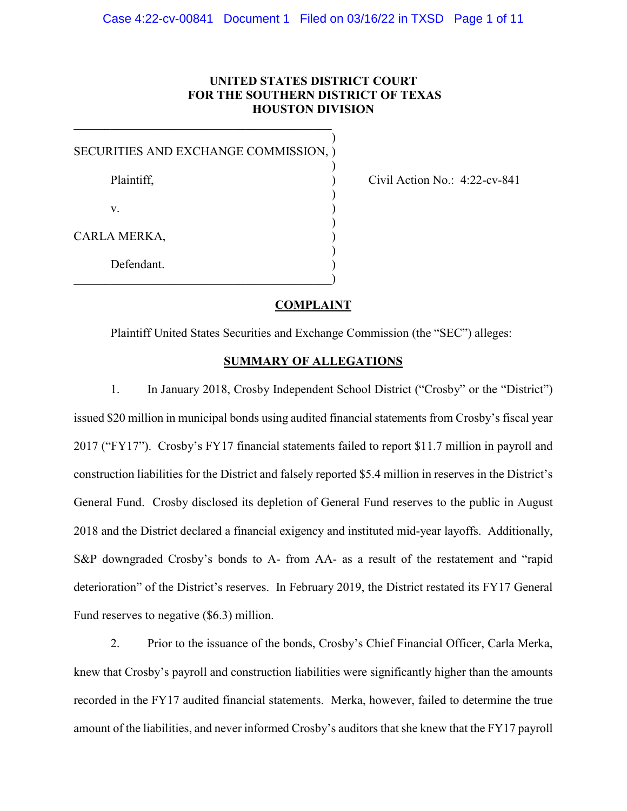# **UNITED STATES DISTRICT COURT FOR THE SOUTHERN DISTRICT OF TEXAS HOUSTON DIVISION**

| SECURITIES AND EXCHANGE COMMISSION, ) |  |
|---------------------------------------|--|
| Plaintiff,                            |  |
| V.                                    |  |
| CARLA MERKA,                          |  |
| Defendant.                            |  |

Civil Action No.:  $4:22$ -cv-841

## **COMPLAINT**

Plaintiff United States Securities and Exchange Commission (the "SEC") alleges:

# **SUMMARY OF ALLEGATIONS**

1. In January 2018, Crosby Independent School District ("Crosby" or the "District") issued \$20 million in municipal bonds using audited financial statements from Crosby's fiscal year 2017 ("FY17"). Crosby's FY17 financial statements failed to report \$11.7 million in payroll and construction liabilities for the District and falsely reported \$5.4 million in reserves in the District's General Fund. Crosby disclosed its depletion of General Fund reserves to the public in August 2018 and the District declared a financial exigency and instituted mid-year layoffs. Additionally, S&P downgraded Crosby's bonds to A- from AA- as a result of the restatement and "rapid deterioration" of the District's reserves. In February 2019, the District restated its FY17 General Fund reserves to negative (\$6.3) million.

2. Prior to the issuance of the bonds, Crosby's Chief Financial Officer, Carla Merka, knew that Crosby's payroll and construction liabilities were significantly higher than the amounts recorded in the FY17 audited financial statements. Merka, however, failed to determine the true amount of the liabilities, and never informed Crosby's auditors that she knew that the FY17 payroll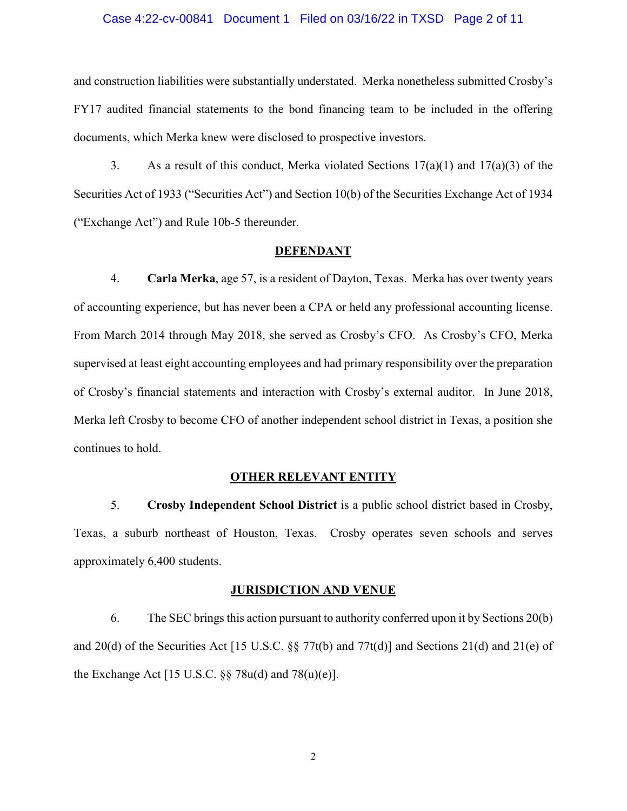#### Case 4:22-cv-00841 Document 1 Filed on 03/16/22 in TXSD Page 2 of 11

and construction liabilities were substantially understated. Merka nonetheless submitted Crosby's FY17 audited financial statements to the bond financing team to be included in the offering documents, which Merka knew were disclosed to prospective investors.

3. As a result of this conduct, Merka violated Sections  $17(a)(1)$  and  $17(a)(3)$  of the Securities Act of 1933 ("Securities Act") and Section 10(b) of the Securities Exchange Act of 1934 ("Exchange Act") and Rule 10b-5 thereunder.

#### **DEFENDANT**

4. **Carla Merka**, age 57, is a resident of Dayton, Texas. Merka has over twenty years of accounting experience, but has never been a CPA or held any professional accounting license. From March 2014 through May 2018, she served as Crosby's CFO. As Crosby's CFO, Merka supervised at least eight accounting employees and had primary responsibility over the preparation of Crosby's financial statements and interaction with Crosby's external auditor. In June 2018, Merka left Crosby to become CFO of another independent school district in Texas, a position she continues to hold.

#### **OTHER RELEVANT ENTITY**

5. **Crosby Independent School District** is a public school district based in Crosby, Texas, a suburb northeast of Houston, Texas. Crosby operates seven schools and serves approximately 6,400 students.

#### **JURISDICTION AND VENUE**

6. The SEC brings this action pursuant to authority conferred upon it by Sections 20(b) and 20(d) of the Securities Act [15 U.S.C.  $\S$  77t(b) and 77t(d)] and Sections 21(d) and 21(e) of the Exchange Act [15 U.S.C.  $\S$ § 78u(d) and 78(u)(e)].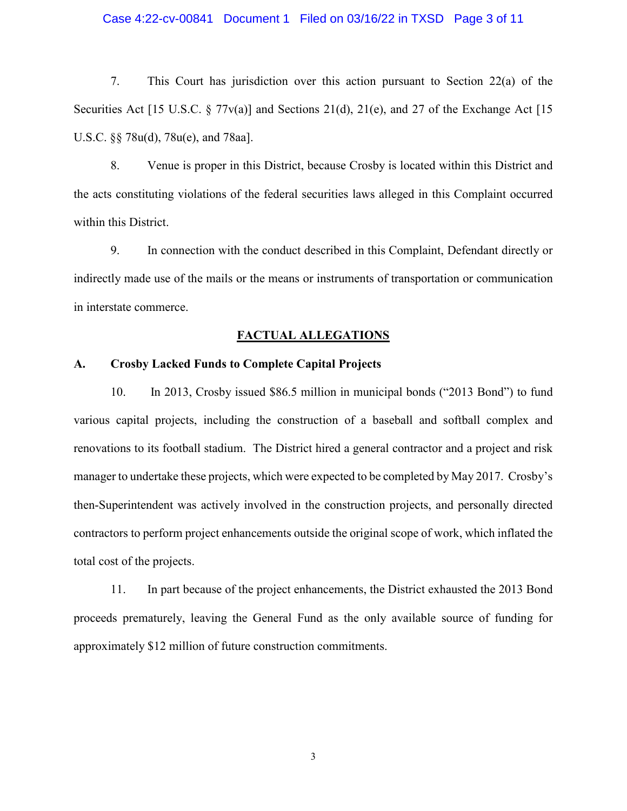### Case 4:22-cv-00841 Document 1 Filed on 03/16/22 in TXSD Page 3 of 11

7. This Court has jurisdiction over this action pursuant to Section 22(a) of the Securities Act [15 U.S.C. § 77 $v(a)$ ] and Sections 21(d), 21(e), and 27 of the Exchange Act [15 U.S.C. §§ 78u(d), 78u(e), and 78aa].

8. Venue is proper in this District, because Crosby is located within this District and the acts constituting violations of the federal securities laws alleged in this Complaint occurred within this District.

9. In connection with the conduct described in this Complaint, Defendant directly or indirectly made use of the mails or the means or instruments of transportation or communication in interstate commerce.

#### **FACTUAL ALLEGATIONS**

#### **A. Crosby Lacked Funds to Complete Capital Projects**

10. In 2013, Crosby issued \$86.5 million in municipal bonds ("2013 Bond") to fund various capital projects, including the construction of a baseball and softball complex and renovations to its football stadium. The District hired a general contractor and a project and risk manager to undertake these projects, which were expected to be completed by May 2017. Crosby's then-Superintendent was actively involved in the construction projects, and personally directed contractors to perform project enhancements outside the original scope of work, which inflated the total cost of the projects.

11. In part because of the project enhancements, the District exhausted the 2013 Bond proceeds prematurely, leaving the General Fund as the only available source of funding for approximately \$12 million of future construction commitments.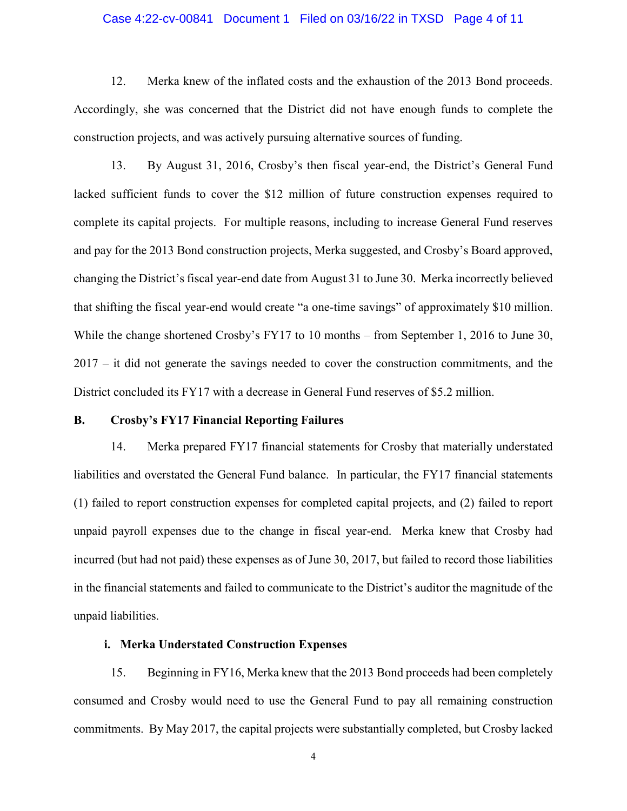### Case 4:22-cv-00841 Document 1 Filed on 03/16/22 in TXSD Page 4 of 11

12. Merka knew of the inflated costs and the exhaustion of the 2013 Bond proceeds. Accordingly, she was concerned that the District did not have enough funds to complete the construction projects, and was actively pursuing alternative sources of funding.

13. By August 31, 2016, Crosby's then fiscal year-end, the District's General Fund lacked sufficient funds to cover the \$12 million of future construction expenses required to complete its capital projects. For multiple reasons, including to increase General Fund reserves and pay for the 2013 Bond construction projects, Merka suggested, and Crosby's Board approved, changing the District's fiscal year-end date from August 31 to June 30. Merka incorrectly believed that shifting the fiscal year-end would create "a one-time savings" of approximately \$10 million. While the change shortened Crosby's FY17 to 10 months – from September 1, 2016 to June 30, 2017 – it did not generate the savings needed to cover the construction commitments, and the District concluded its FY17 with a decrease in General Fund reserves of \$5.2 million.

#### **B. Crosby's FY17 Financial Reporting Failures**

14. Merka prepared FY17 financial statements for Crosby that materially understated liabilities and overstated the General Fund balance. In particular, the FY17 financial statements (1) failed to report construction expenses for completed capital projects, and (2) failed to report unpaid payroll expenses due to the change in fiscal year-end. Merka knew that Crosby had incurred (but had not paid) these expenses as of June 30, 2017, but failed to record those liabilities in the financial statements and failed to communicate to the District's auditor the magnitude of the unpaid liabilities.

# **i. Merka Understated Construction Expenses**

15. Beginning in FY16, Merka knew that the 2013 Bond proceeds had been completely consumed and Crosby would need to use the General Fund to pay all remaining construction commitments. By May 2017, the capital projects were substantially completed, but Crosby lacked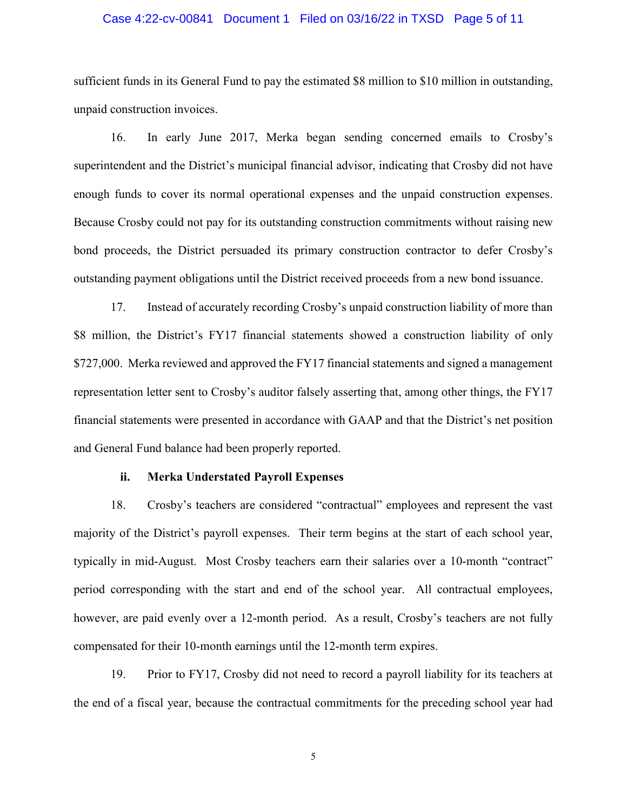### Case 4:22-cv-00841 Document 1 Filed on 03/16/22 in TXSD Page 5 of 11

sufficient funds in its General Fund to pay the estimated \$8 million to \$10 million in outstanding, unpaid construction invoices.

16. In early June 2017, Merka began sending concerned emails to Crosby's superintendent and the District's municipal financial advisor, indicating that Crosby did not have enough funds to cover its normal operational expenses and the unpaid construction expenses. Because Crosby could not pay for its outstanding construction commitments without raising new bond proceeds, the District persuaded its primary construction contractor to defer Crosby's outstanding payment obligations until the District received proceeds from a new bond issuance.

17. Instead of accurately recording Crosby's unpaid construction liability of more than \$8 million, the District's FY17 financial statements showed a construction liability of only \$727,000. Merka reviewed and approved the FY17 financial statements and signed a management representation letter sent to Crosby's auditor falsely asserting that, among other things, the FY17 financial statements were presented in accordance with GAAP and that the District's net position and General Fund balance had been properly reported.

### **ii. Merka Understated Payroll Expenses**

18. Crosby's teachers are considered "contractual" employees and represent the vast majority of the District's payroll expenses. Their term begins at the start of each school year, typically in mid-August. Most Crosby teachers earn their salaries over a 10-month "contract" period corresponding with the start and end of the school year. All contractual employees, however, are paid evenly over a 12-month period. As a result, Crosby's teachers are not fully compensated for their 10-month earnings until the 12-month term expires.

19. Prior to FY17, Crosby did not need to record a payroll liability for its teachers at the end of a fiscal year, because the contractual commitments for the preceding school year had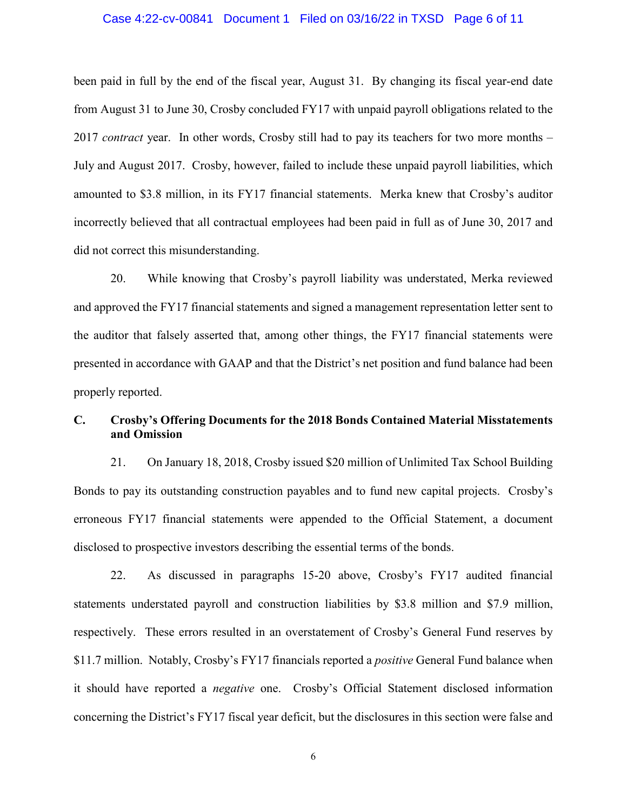### Case 4:22-cv-00841 Document 1 Filed on 03/16/22 in TXSD Page 6 of 11

been paid in full by the end of the fiscal year, August 31. By changing its fiscal year-end date from August 31 to June 30, Crosby concluded FY17 with unpaid payroll obligations related to the 2017 *contract* year. In other words, Crosby still had to pay its teachers for two more months – July and August 2017. Crosby, however, failed to include these unpaid payroll liabilities, which amounted to \$3.8 million, in its FY17 financial statements. Merka knew that Crosby's auditor incorrectly believed that all contractual employees had been paid in full as of June 30, 2017 and did not correct this misunderstanding.

20. While knowing that Crosby's payroll liability was understated, Merka reviewed and approved the FY17 financial statements and signed a management representation letter sent to the auditor that falsely asserted that, among other things, the FY17 financial statements were presented in accordance with GAAP and that the District's net position and fund balance had been properly reported.

# **C. Crosby's Offering Documents for the 2018 Bonds Contained Material Misstatements and Omission**

21. On January 18, 2018, Crosby issued \$20 million of Unlimited Tax School Building Bonds to pay its outstanding construction payables and to fund new capital projects. Crosby's erroneous FY17 financial statements were appended to the Official Statement, a document disclosed to prospective investors describing the essential terms of the bonds.

22. As discussed in paragraphs 15-20 above, Crosby's FY17 audited financial statements understated payroll and construction liabilities by \$3.8 million and \$7.9 million, respectively. These errors resulted in an overstatement of Crosby's General Fund reserves by \$11.7 million. Notably, Crosby's FY17 financials reported a *positive* General Fund balance when it should have reported a *negative* one. Crosby's Official Statement disclosed information concerning the District's FY17 fiscal year deficit, but the disclosures in this section were false and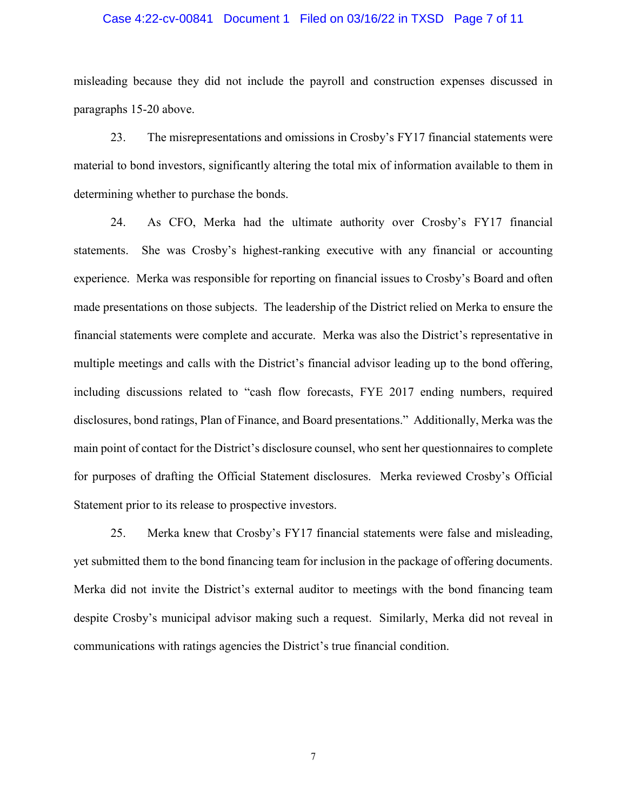### Case 4:22-cv-00841 Document 1 Filed on 03/16/22 in TXSD Page 7 of 11

misleading because they did not include the payroll and construction expenses discussed in paragraphs 15-20 above.

23. The misrepresentations and omissions in Crosby's FY17 financial statements were material to bond investors, significantly altering the total mix of information available to them in determining whether to purchase the bonds.

24. As CFO, Merka had the ultimate authority over Crosby's FY17 financial statements. She was Crosby's highest-ranking executive with any financial or accounting experience. Merka was responsible for reporting on financial issues to Crosby's Board and often made presentations on those subjects. The leadership of the District relied on Merka to ensure the financial statements were complete and accurate. Merka was also the District's representative in multiple meetings and calls with the District's financial advisor leading up to the bond offering, including discussions related to "cash flow forecasts, FYE 2017 ending numbers, required disclosures, bond ratings, Plan of Finance, and Board presentations." Additionally, Merka was the main point of contact for the District's disclosure counsel, who sent her questionnaires to complete for purposes of drafting the Official Statement disclosures. Merka reviewed Crosby's Official Statement prior to its release to prospective investors.

25. Merka knew that Crosby's FY17 financial statements were false and misleading, yet submitted them to the bond financing team for inclusion in the package of offering documents. Merka did not invite the District's external auditor to meetings with the bond financing team despite Crosby's municipal advisor making such a request. Similarly, Merka did not reveal in communications with ratings agencies the District's true financial condition.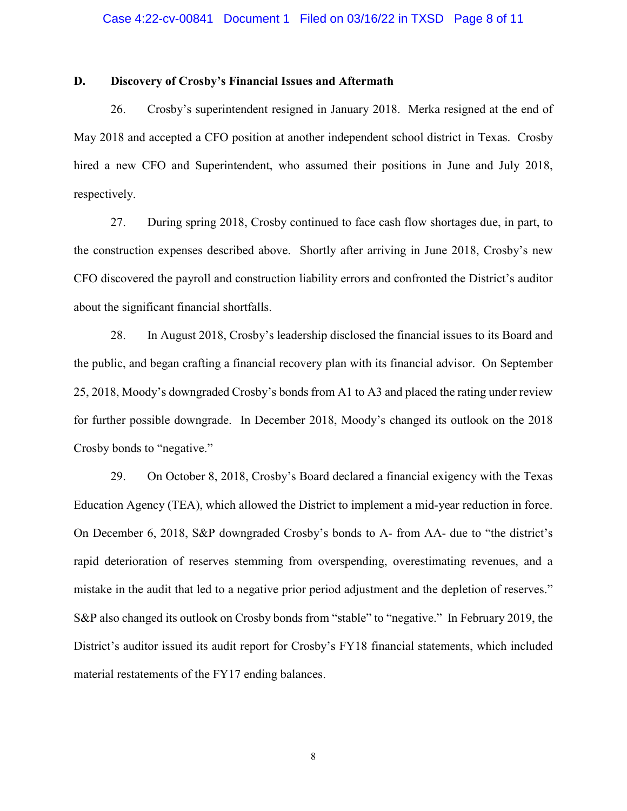# **D. Discovery of Crosby's Financial Issues and Aftermath**

26. Crosby's superintendent resigned in January 2018. Merka resigned at the end of May 2018 and accepted a CFO position at another independent school district in Texas. Crosby hired a new CFO and Superintendent, who assumed their positions in June and July 2018, respectively.

27. During spring 2018, Crosby continued to face cash flow shortages due, in part, to the construction expenses described above. Shortly after arriving in June 2018, Crosby's new CFO discovered the payroll and construction liability errors and confronted the District's auditor about the significant financial shortfalls.

28. In August 2018, Crosby's leadership disclosed the financial issues to its Board and the public, and began crafting a financial recovery plan with its financial advisor. On September 25, 2018, Moody's downgraded Crosby's bonds from A1 to A3 and placed the rating under review for further possible downgrade. In December 2018, Moody's changed its outlook on the 2018 Crosby bonds to "negative."

29. On October 8, 2018, Crosby's Board declared a financial exigency with the Texas Education Agency (TEA), which allowed the District to implement a mid-year reduction in force. On December 6, 2018, S&P downgraded Crosby's bonds to A- from AA- due to "the district's rapid deterioration of reserves stemming from overspending, overestimating revenues, and a mistake in the audit that led to a negative prior period adjustment and the depletion of reserves." S&P also changed its outlook on Crosby bonds from "stable" to "negative." In February 2019, the District's auditor issued its audit report for Crosby's FY18 financial statements, which included material restatements of the FY17 ending balances.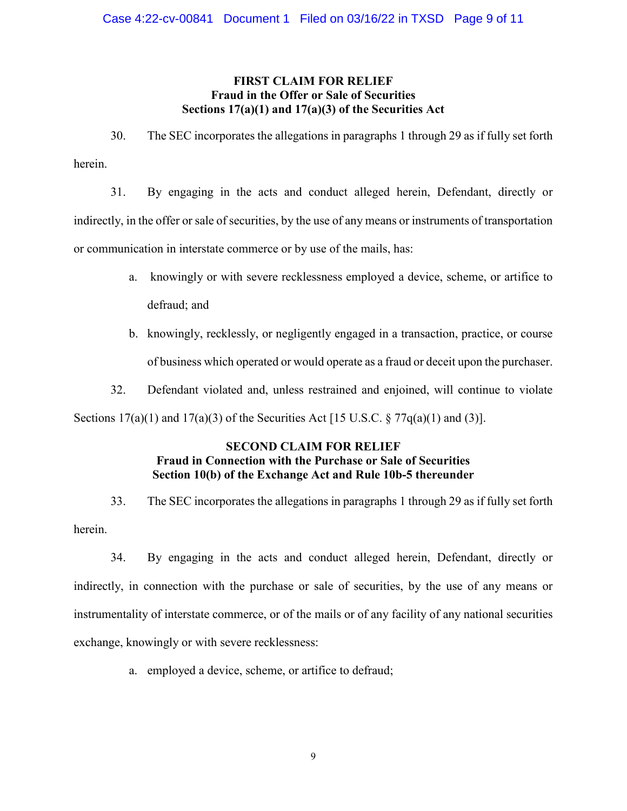# **FIRST CLAIM FOR RELIEF Fraud in the Offer or Sale of Securities Sections 17(a)(1) and 17(a)(3) of the Securities Act**

30. The SEC incorporates the allegations in paragraphs 1 through 29 as if fully set forth herein.

31. By engaging in the acts and conduct alleged herein, Defendant, directly or indirectly, in the offer or sale of securities, by the use of any means or instruments of transportation or communication in interstate commerce or by use of the mails, has:

- a. knowingly or with severe recklessness employed a device, scheme, or artifice to defraud; and
- b. knowingly, recklessly, or negligently engaged in a transaction, practice, or course of business which operated or would operate as a fraud or deceit upon the purchaser.
- 32. Defendant violated and, unless restrained and enjoined, will continue to violate

Sections  $17(a)(1)$  and  $17(a)(3)$  of the Securities Act [15 U.S.C. §  $77q(a)(1)$  and (3)].

# **SECOND CLAIM FOR RELIEF Fraud in Connection with the Purchase or Sale of Securities Section 10(b) of the Exchange Act and Rule 10b-5 thereunder**

33. The SEC incorporates the allegations in paragraphs 1 through 29 as if fully set forth herein.

34. By engaging in the acts and conduct alleged herein, Defendant, directly or indirectly, in connection with the purchase or sale of securities, by the use of any means or instrumentality of interstate commerce, or of the mails or of any facility of any national securities exchange, knowingly or with severe recklessness:

a. employed a device, scheme, or artifice to defraud;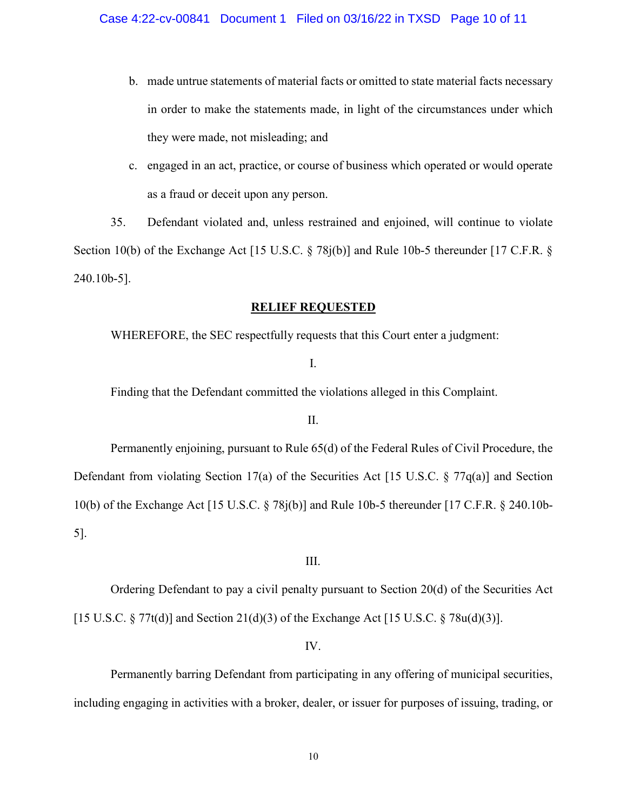- b. made untrue statements of material facts or omitted to state material facts necessary in order to make the statements made, in light of the circumstances under which they were made, not misleading; and
- c. engaged in an act, practice, or course of business which operated or would operate as a fraud or deceit upon any person.

35. Defendant violated and, unless restrained and enjoined, will continue to violate Section 10(b) of the Exchange Act [15 U.S.C. § 78j(b)] and Rule 10b-5 thereunder [17 C.F.R. § 240.10b-5].

## **RELIEF REQUESTED**

WHEREFORE, the SEC respectfully requests that this Court enter a judgment:

# I.

Finding that the Defendant committed the violations alleged in this Complaint.

### II.

Permanently enjoining, pursuant to Rule 65(d) of the Federal Rules of Civil Procedure, the Defendant from violating Section 17(a) of the Securities Act [15 U.S.C. § 77q(a)] and Section 10(b) of the Exchange Act [15 U.S.C. § 78j(b)] and Rule 10b-5 thereunder [17 C.F.R. § 240.10b-5].

#### III.

Ordering Defendant to pay a civil penalty pursuant to Section 20(d) of the Securities Act [15 U.S.C.  $\S 77t(d)$ ] and Section 21(d)(3) of the Exchange Act [15 U.S.C.  $\S 78u(d)(3)$ ].

## IV.

Permanently barring Defendant from participating in any offering of municipal securities, including engaging in activities with a broker, dealer, or issuer for purposes of issuing, trading, or